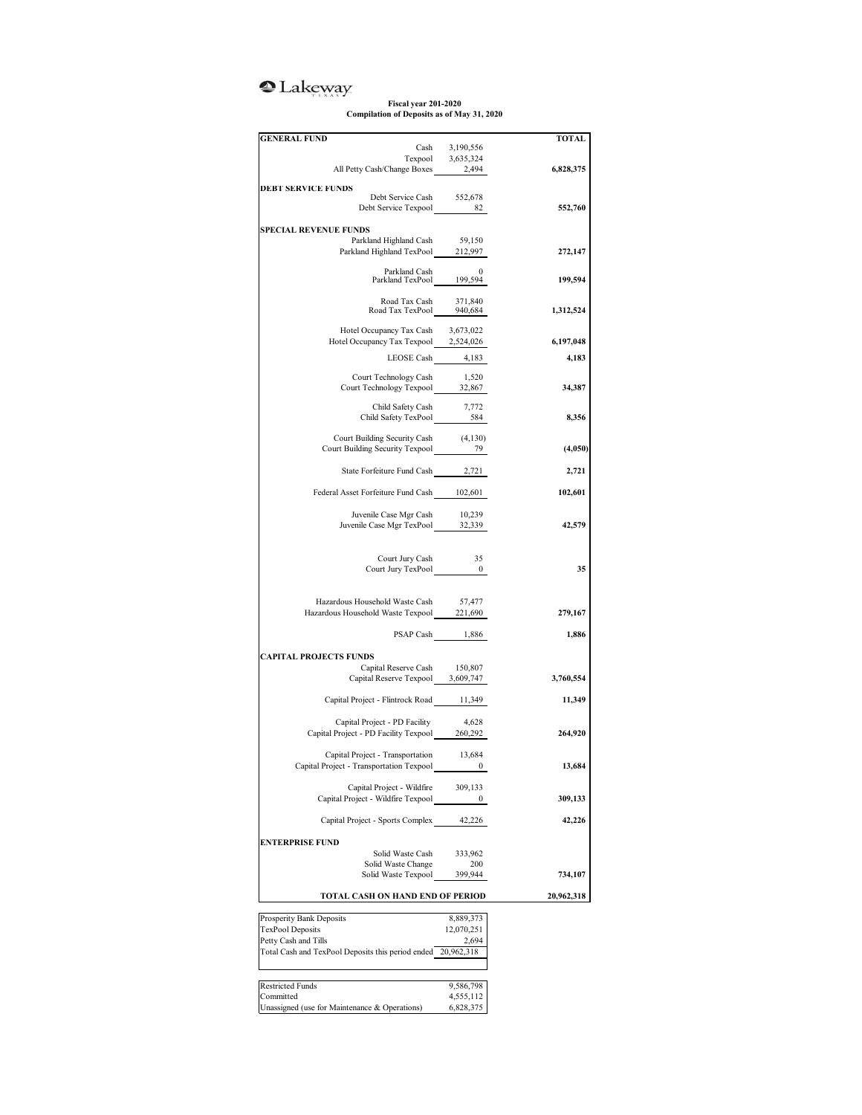## <sup>2</sup>Lakeway

**Fiscal year 201-2020 Compilation of Deposits as of May 31, 2020**

| <b>GENERAL FUND</b>                                                                                                                                                                             |                         | <b>TOTAL</b> |
|-------------------------------------------------------------------------------------------------------------------------------------------------------------------------------------------------|-------------------------|--------------|
| $\begin{tabular}{cc} \multicolumn{2}{l}{{\text{Cash}}}&3,190,556\\ \multicolumn{2}{l}{\text{Texpool}}&3,635,324\\ \multicolumn{2}{l}{\text{All Petty Cash/Change Boxes}}&2,494\\ \end{tabular}$ |                         |              |
|                                                                                                                                                                                                 |                         |              |
|                                                                                                                                                                                                 |                         | 6,828,375    |
| <b>DEBT SERVICE FUNDS</b>                                                                                                                                                                       |                         |              |
| Debt Service Cash<br>Debt Service Texpool 82                                                                                                                                                    | 552,678                 | 552,760      |
|                                                                                                                                                                                                 |                         |              |
| <b>SPECIAL REVENUE FUNDS</b>                                                                                                                                                                    |                         |              |
| Parkland Highland Cash 59,150<br>Parkland Highland TexPool 212,997                                                                                                                              |                         | 272,147      |
|                                                                                                                                                                                                 |                         |              |
| Parkland Cash 0<br>Parkland TexPool 199,594                                                                                                                                                     |                         | 199,594      |
|                                                                                                                                                                                                 |                         |              |
| Road Tax Cash 371,840<br>Road Tax TexPool 940,684                                                                                                                                               |                         |              |
|                                                                                                                                                                                                 |                         | 1,312,524    |
| Hotel Occupancy Tax Cash                                                                                                                                                                        | 3,673,022               |              |
| Hotel Occupancy Tax Texpool 2,524,026                                                                                                                                                           |                         | 6,197,048    |
| LEOSE Cash 4,183                                                                                                                                                                                |                         | 4,183        |
| Court Technology Cash                                                                                                                                                                           | 1,520                   |              |
| Court Technology Texpool 32,867                                                                                                                                                                 |                         | 34,387       |
| Child Safety Cash                                                                                                                                                                               | 7,772                   |              |
|                                                                                                                                                                                                 |                         | 8,356        |
|                                                                                                                                                                                                 |                         |              |
| Court Building Security Cash (4,130)<br>Court Building Security Texpool 79                                                                                                                      |                         | (4,050)      |
|                                                                                                                                                                                                 |                         |              |
| State Forfeiture Fund Cash 2,721                                                                                                                                                                |                         | 2,721        |
| Federal Asset Forfeiture Fund Cash 102,601                                                                                                                                                      |                         |              |
|                                                                                                                                                                                                 |                         | 102,601      |
| Juvenile Case Mgr Cash                                                                                                                                                                          | 10,239                  |              |
| Juvenile Case Mgr TexPool 32,339                                                                                                                                                                |                         | 42,579       |
|                                                                                                                                                                                                 |                         |              |
| Court Jury Cash                                                                                                                                                                                 | 35                      |              |
| $\begin{tabular}{c} Court Jury TexPool \end{tabular} \hspace{1cm} 0 \\$                                                                                                                         |                         | 35           |
|                                                                                                                                                                                                 |                         |              |
| Hazardous Household Waste Cash                                                                                                                                                                  | 57,477                  |              |
| Hazardous Household Waste Texpool 221,690                                                                                                                                                       |                         | 279,167      |
|                                                                                                                                                                                                 |                         |              |
|                                                                                                                                                                                                 | PSAP Cash 1,886         | 1,886        |
| <b>CAPITAL PROJECTS FUNDS</b>                                                                                                                                                                   |                         |              |
| Capital Reserve Cash                                                                                                                                                                            | 150,807                 |              |
| Capital Reserve Texpool 3,609,747                                                                                                                                                               |                         | 3,760,554    |
| Capital Project - Flintrock Road 11,349                                                                                                                                                         |                         | 11,349       |
|                                                                                                                                                                                                 |                         |              |
| Capital Project - PD Facility<br>Capital Project - PD Facility Texpool 260,292                                                                                                                  | 4,628                   |              |
|                                                                                                                                                                                                 |                         | 264,920      |
| Capital Project - Transportation                                                                                                                                                                | 13,684                  |              |
| Capital Project - Transportation Texpool                                                                                                                                                        | $\bf{0}$                | 13,684       |
| Capital Project - Wildfire                                                                                                                                                                      |                         |              |
| Capital Project - Wildfire Texpool                                                                                                                                                              | 309,133<br>0            | 309,133      |
|                                                                                                                                                                                                 |                         |              |
| Capital Project - Sports Complex                                                                                                                                                                | 42,226                  | 42,226       |
| <b>ENTERPRISE FUND</b>                                                                                                                                                                          |                         |              |
| Solid Waste Cash                                                                                                                                                                                | 333,962                 |              |
| Solid Waste Change                                                                                                                                                                              | 200                     |              |
| Solid Waste Texpool                                                                                                                                                                             | 399,944                 | 734,107      |
| TOTAL CASH ON HAND END OF PERIOD                                                                                                                                                                |                         | 20,962,318   |
|                                                                                                                                                                                                 |                         |              |
| Prosperity Bank Deposits<br>TexPool Deposits                                                                                                                                                    | 8,889,373<br>12,070,251 |              |
| Petty Cash and Tills                                                                                                                                                                            | 2,694                   |              |
| Total Cash and TexPool Deposits this period ended 20,962,318                                                                                                                                    |                         |              |
|                                                                                                                                                                                                 |                         |              |
|                                                                                                                                                                                                 |                         |              |
| <b>Restricted Funds</b><br>Committed                                                                                                                                                            | 9,586,798<br>4,555,112  |              |
| Unassigned (use for Maintenance & Operations)                                                                                                                                                   | 6,828,375               |              |